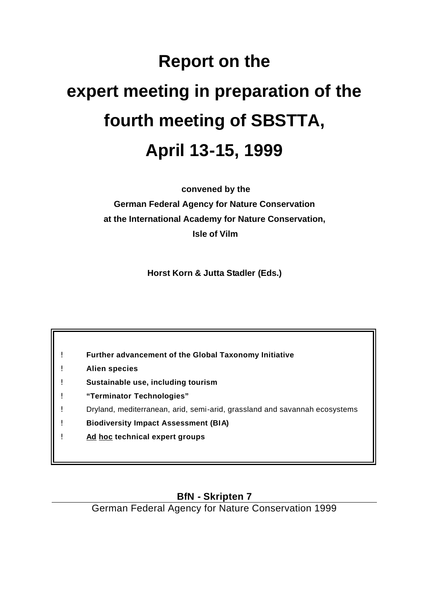# **Report on the expert meeting in preparation of the fourth meeting of SBSTTA, April 13-15, 1999**

 **convened by the** 

**German Federal Agency for Nature Conservation at the International Academy for Nature Conservation, Isle of Vilm**

**Horst Korn & Jutta Stadler (Eds.)**

- ! **Further advancement of the Global Taxonomy Initiative**
- ! **Alien species**
- ! **Sustainable use, including tourism**
- ! **"Terminator Technologies"**
- ! Dryland, mediterranean, arid, semi-arid, grassland and savannah ecosystems
- ! **Biodiversity Impact Assessment (BIA)**
- ! **Ad hoc technical expert groups**

## **BfN - Skripten 7**

German Federal Agency for Nature Conservation 1999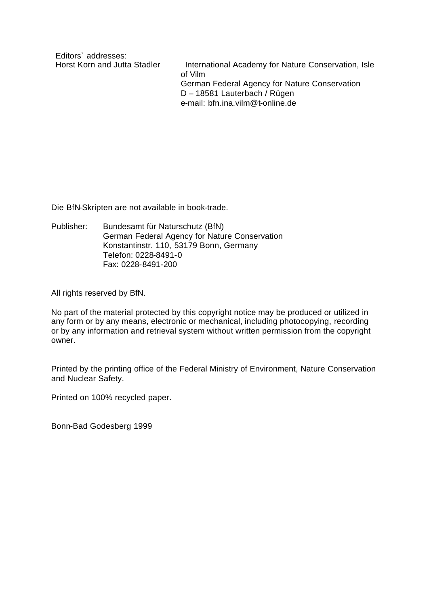Editors` addresses:

Horst Korn and Jutta Stadler International Academy for Nature Conservation, Isle of Vilm German Federal Agency for Nature Conservation D – 18581 Lauterbach / Rügen e-mail: bfn.ina.vilm@t-online.de

Die BfN-Skripten are not available in book-trade.

Publisher: Bundesamt für Naturschutz (BfN) German Federal Agency for Nature Conservation Konstantinstr. 110, 53179 Bonn, Germany Telefon: 0228-8491-0 Fax: 0228-8491-200

All rights reserved by BfN.

No part of the material protected by this copyright notice may be produced or utilized in any form or by any means, electronic or mechanical, including photocopying, recording or by any information and retrieval system without written permission from the copyright owner.

Printed by the printing office of the Federal Ministry of Environment, Nature Conservation and Nuclear Safety.

Printed on 100% recycled paper.

Bonn-Bad Godesberg 1999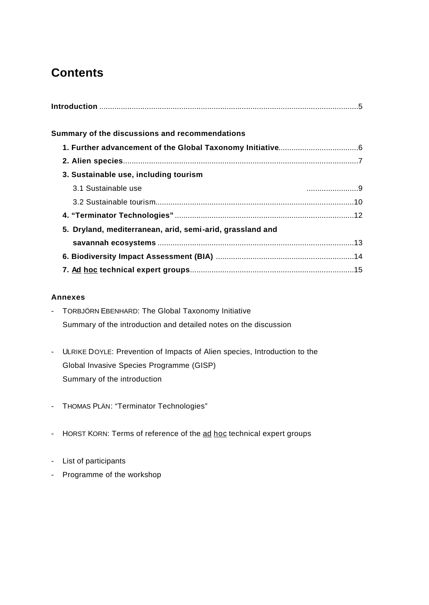# **Contents**

| Summary of the discussions and recommendations            |  |
|-----------------------------------------------------------|--|
|                                                           |  |
|                                                           |  |
| 3. Sustainable use, including tourism                     |  |
| 3.1 Sustainable use                                       |  |
|                                                           |  |
|                                                           |  |
| 5. Dryland, mediterranean, arid, semi-arid, grassland and |  |
|                                                           |  |
|                                                           |  |
|                                                           |  |

#### **Annexes**

- TORBJÖRN EBENHARD: The Global Taxonomy Initiative Summary of the introduction and detailed notes on the discussion
- ULRIKE DOYLE: Prevention of Impacts of Alien species, Introduction to the Global Invasive Species Programme (GISP) Summary of the introduction
- THOMAS PLÄN: "Terminator Technologies"
- HORST KORN: Terms of reference of the ad hoc technical expert groups
- List of participants
- Programme of the workshop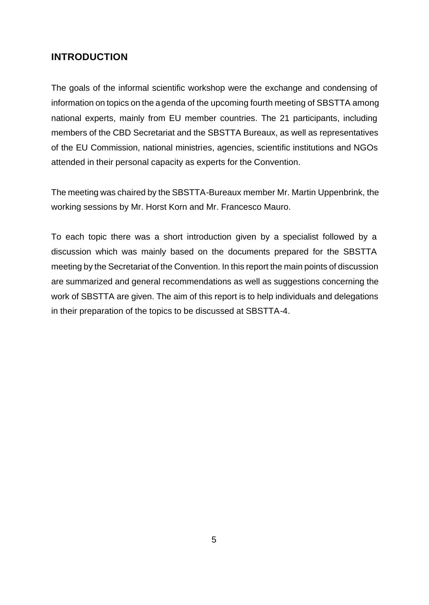## **INTRODUCTION**

The goals of the informal scientific workshop were the exchange and condensing of information on topics on the agenda of the upcoming fourth meeting of SBSTTA among national experts, mainly from EU member countries. The 21 participants, including members of the CBD Secretariat and the SBSTTA Bureaux, as well as representatives of the EU Commission, national ministries, agencies, scientific institutions and NGOs attended in their personal capacity as experts for the Convention.

The meeting was chaired by the SBSTTA-Bureaux member Mr. Martin Uppenbrink, the working sessions by Mr. Horst Korn and Mr. Francesco Mauro.

To each topic there was a short introduction given by a specialist followed by a discussion which was mainly based on the documents prepared for the SBSTTA meeting by the Secretariat of the Convention. In this report the main points of discussion are summarized and general recommendations as well as suggestions concerning the work of SBSTTA are given. The aim of this report is to help individuals and delegations in their preparation of the topics to be discussed at SBSTTA-4.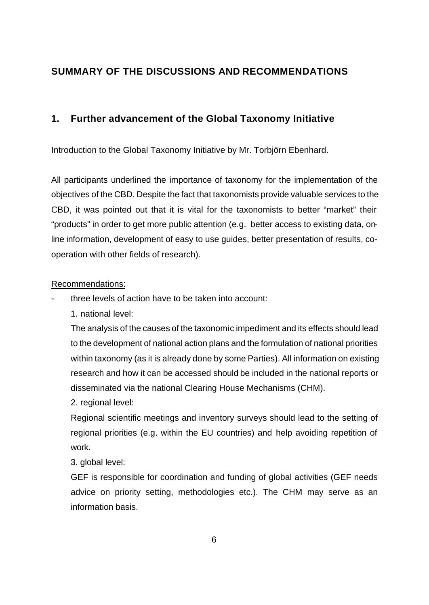## **SUMMARY OF THE DISCUSSIONS AND RECOMMENDATIONS**

## **1. Further advancement of the Global Taxonomy Initiative**

Introduction to the Global Taxonomy Initiative by Mr. Torbjörn Ebenhard.

All participants underlined the importance of taxonomy for the implementation of the objectives of the CBD. Despite the fact that taxonomists provide valuable services to the CBD, it was pointed out that it is vital for the taxonomists to better "market" their "products" in order to get more public attention (e.g. better access to existing data, online information, development of easy to use guides, better presentation of results, cooperation with other fields of research).

## Recommendations:

- three levels of action have to be taken into account:
	- 1. national level:

The analysis of the causes of the taxonomic impediment and its effects should lead to the development of national action plans and the formulation of national priorities within taxonomy (as it is already done by some Parties). All information on existing research and how it can be accessed should be included in the national reports or disseminated via the national Clearing House Mechanisms (CHM).

2. regional level:

Regional scientific meetings and inventory surveys should lead to the setting of regional priorities (e.g. within the EU countries) and help avoiding repetition of work.

3. global level:

GEF is responsible for coordination and funding of global activities (GEF needs advice on priority setting, methodologies etc.). The CHM may serve as an information basis.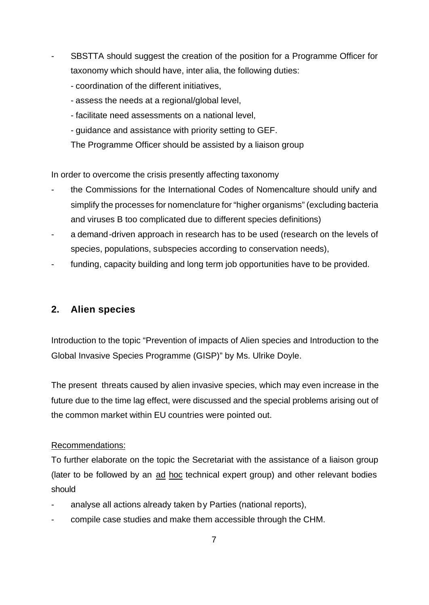- SBSTTA should suggest the creation of the position for a Programme Officer for taxonomy which should have, inter alia, the following duties:
	- coordination of the different initiatives,
	- assess the needs at a regional/global level,
	- facilitate need assessments on a national level,
	- guidance and assistance with priority setting to GEF.
	- The Programme Officer should be assisted by a liaison group

In order to overcome the crisis presently affecting taxonomy

- the Commissions for the International Codes of Nomencalture should unify and simplify the processes for nomenclature for "higher organisms" (excluding bacteria and viruses B too complicated due to different species definitions)
- a demand-driven approach in research has to be used (research on the levels of species, populations, subspecies according to conservation needs),
- funding, capacity building and long term job opportunities have to be provided.

## **2. Alien species**

Introduction to the topic "Prevention of impacts of Alien species and Introduction to the Global Invasive Species Programme (GISP)" by Ms. Ulrike Doyle.

The present threats caused by alien invasive species, which may even increase in the future due to the time lag effect, were discussed and the special problems arising out of the common market within EU countries were pointed out.

#### Recommendations:

To further elaborate on the topic the Secretariat with the assistance of a liaison group (later to be followed by an ad hoc technical expert group) and other relevant bodies should

- analyse all actions already taken by Parties (national reports),
- compile case studies and make them accessible through the CHM.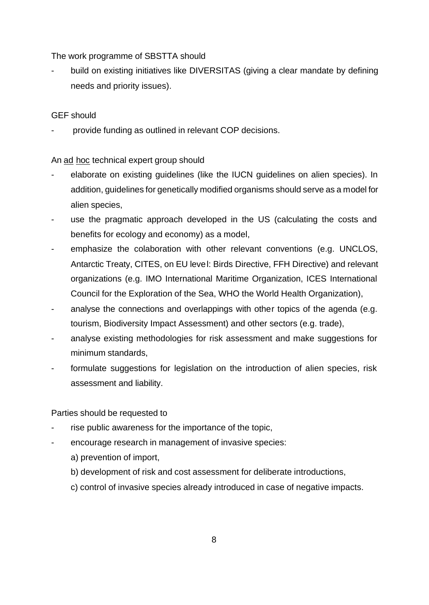The work programme of SBSTTA should

build on existing initiatives like DIVERSITAS (giving a clear mandate by defining needs and priority issues).

## GEF should

provide funding as outlined in relevant COP decisions.

An ad hoc technical expert group should

- elaborate on existing guidelines (like the IUCN guidelines on alien species). In addition, guidelines for genetically modified organisms should serve as a model for alien species,
- use the pragmatic approach developed in the US (calculating the costs and benefits for ecology and economy) as a model,
- emphasize the colaboration with other relevant conventions (e.g. UNCLOS, Antarctic Treaty, CITES, on EU level: Birds Directive, FFH Directive) and relevant organizations (e.g. IMO International Maritime Organization, ICES International Council for the Exploration of the Sea, WHO the World Health Organization),
- analyse the connections and overlappings with other topics of the agenda (e.g. tourism, Biodiversity Impact Assessment) and other sectors (e.g. trade),
- analyse existing methodologies for risk assessment and make suggestions for minimum standards,
- formulate suggestions for legislation on the introduction of alien species, risk assessment and liability.

Parties should be requested to

- rise public awareness for the importance of the topic,
- encourage research in management of invasive species:
	- a) prevention of import,
	- b) development of risk and cost assessment for deliberate introductions,
	- c) control of invasive species already introduced in case of negative impacts.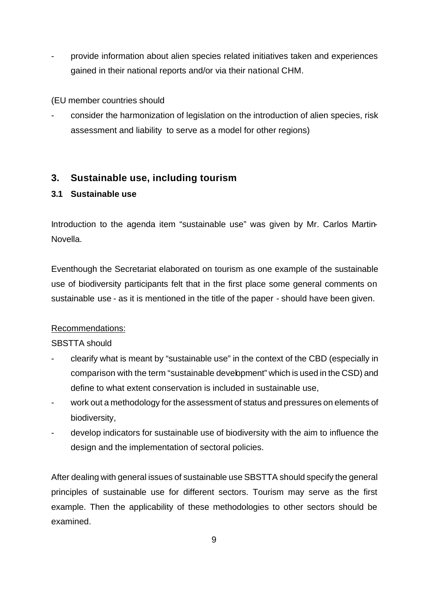- provide information about alien species related initiatives taken and experiences gained in their national reports and/or via their national CHM.

(EU member countries should

consider the harmonization of legislation on the introduction of alien species, risk assessment and liability to serve as a model for other regions)

## **3. Sustainable use, including tourism**

## **3.1 Sustainable use**

Introduction to the agenda item "sustainable use" was given by Mr. Carlos Martin-Novella.

Eventhough the Secretariat elaborated on tourism as one example of the sustainable use of biodiversity participants felt that in the first place some general comments on sustainable use - as it is mentioned in the title of the paper - should have been given.

## Recommendations:

SBSTTA should

- clearify what is meant by "sustainable use" in the context of the CBD (especially in comparison with the term "sustainable development" which is used in the CSD) and define to what extent conservation is included in sustainable use,
- work out a methodology for the assessment of status and pressures on elements of biodiversity,
- develop indicators for sustainable use of biodiversity with the aim to influence the design and the implementation of sectoral policies.

After dealing with general issues of sustainable use SBSTTA should specify the general principles of sustainable use for different sectors. Tourism may serve as the first example. Then the applicability of these methodologies to other sectors should be examined.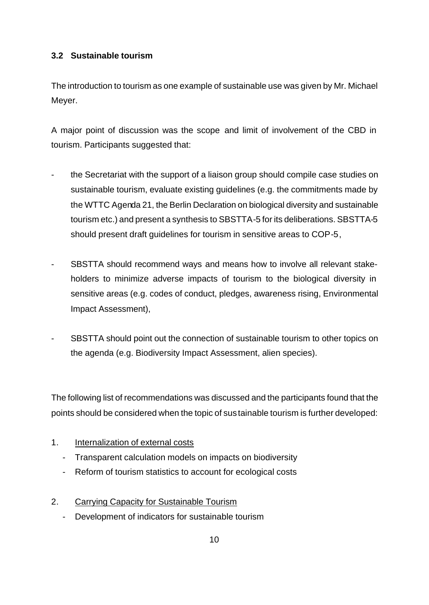### **3.2 Sustainable tourism**

The introduction to tourism as one example of sustainable use was given by Mr. Michael Meyer.

A major point of discussion was the scope and limit of involvement of the CBD in tourism. Participants suggested that:

- the Secretariat with the support of a liaison group should compile case studies on sustainable tourism, evaluate existing guidelines (e.g. the commitments made by the WTTC Agenda 21, the Berlin Declaration on biological diversity and sustainable tourism etc.) and present a synthesis to SBSTTA-5 for its deliberations. SBSTTA-5 should present draft guidelines for tourism in sensitive areas to COP-5,
- SBSTTA should recommend ways and means how to involve all relevant stakeholders to minimize adverse impacts of tourism to the biological diversity in sensitive areas (e.g. codes of conduct, pledges, awareness rising, Environmental Impact Assessment),
- SBSTTA should point out the connection of sustainable tourism to other topics on the agenda (e.g. Biodiversity Impact Assessment, alien species).

The following list of recommendations was discussed and the participants found that the points should be considered when the topic of sus tainable tourism is further developed:

#### 1. Internalization of external costs

- Transparent calculation models on impacts on biodiversity
- Reform of tourism statistics to account for ecological costs
- 2. Carrying Capacity for Sustainable Tourism
	- Development of indicators for sustainable tourism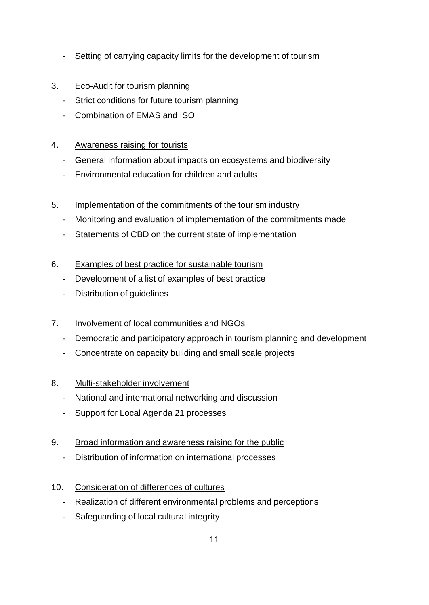- Setting of carrying capacity limits for the development of tourism
- 3. Eco-Audit for tourism planning
	- Strict conditions for future tourism planning
	- Combination of EMAS and ISO

## 4. Awareness raising for tourists

- General information about impacts on ecosystems and biodiversity
- Environmental education for children and adults
- 5. Implementation of the commitments of the tourism industry
	- Monitoring and evaluation of implementation of the commitments made
	- Statements of CBD on the current state of implementation
- 6. Examples of best practice for sustainable tourism
	- Development of a list of examples of best practice
	- Distribution of guidelines
- 7. Involvement of local communities and NGOs
	- Democratic and participatory approach in tourism planning and development
	- Concentrate on capacity building and small scale projects
- 8. Multi-stakeholder involvement
	- National and international networking and discussion
	- Support for Local Agenda 21 processes
- 9. Broad information and awareness raising for the public
	- Distribution of information on international processes
- 10. Consideration of differences of cultures
	- Realization of different environmental problems and perceptions
	- Safeguarding of local cultural integrity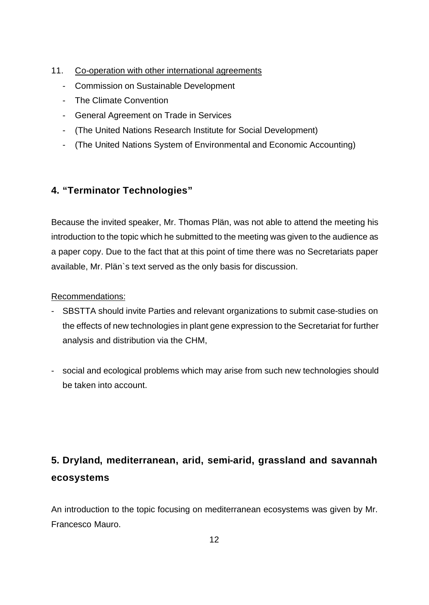- 11. Co-operation with other international agreements
	- Commission on Sustainable Development
	- The Climate Convention
	- General Agreement on Trade in Services
	- (The United Nations Research Institute for Social Development)
	- (The United Nations System of Environmental and Economic Accounting)

## **4. "Terminator Technologies"**

Because the invited speaker, Mr. Thomas Plän, was not able to attend the meeting his introduction to the topic which he submitted to the meeting was given to the audience as a paper copy. Due to the fact that at this point of time there was no Secretariats paper available, Mr. Plän`s text served as the only basis for discussion.

#### Recommendations:

- SBSTTA should invite Parties and relevant organizations to submit case-studies on the effects of new technologies in plant gene expression to the Secretariat for further analysis and distribution via the CHM,
- social and ecological problems which may arise from such new technologies should be taken into account.

# **5. Dryland, mediterranean, arid, semi-arid, grassland and savannah ecosystems**

An introduction to the topic focusing on mediterranean ecosystems was given by Mr. Francesco Mauro.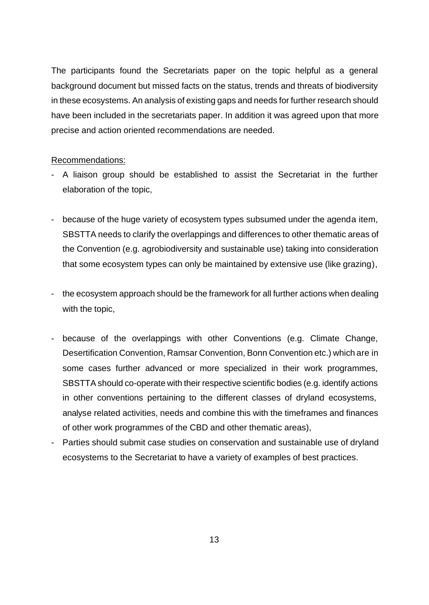The participants found the Secretariats paper on the topic helpful as a general background document but missed facts on the status, trends and threats of biodiversity in these ecosystems. An analysis of existing gaps and needs for further research should have been included in the secretariats paper. In addition it was agreed upon that more precise and action oriented recommendations are needed.

#### Recommendations:

- A liaison group should be established to assist the Secretariat in the further elaboration of the topic,
- because of the huge variety of ecosystem types subsumed under the agenda item, SBSTTA needs to clarify the overlappings and differences to other thematic areas of the Convention (e.g. agrobiodiversity and sustainable use) taking into consideration that some ecosystem types can only be maintained by extensive use (like grazing),
- the ecosystem approach should be the framework for all further actions when dealing with the topic,
- because of the overlappings with other Conventions (e.g. Climate Change, Desertification Convention, Ramsar Convention, Bonn Convention etc.) which are in some cases further advanced or more specialized in their work programmes, SBSTTA should co-operate with their respective scientific bodies (e.g. identify actions in other conventions pertaining to the different classes of dryland ecosystems, analyse related activities, needs and combine this with the timeframes and finances of other work programmes of the CBD and other thematic areas),
- Parties should submit case studies on conservation and sustainable use of dryland ecosystems to the Secretariat to have a variety of examples of best practices.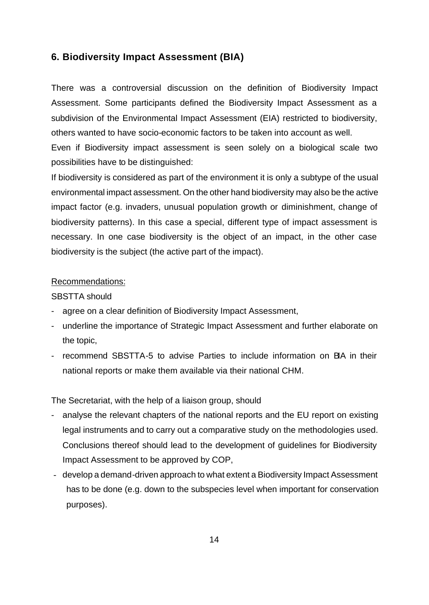#### **6. Biodiversity Impact Assessment (BIA)**

There was a controversial discussion on the definition of Biodiversity Impact Assessment. Some participants defined the Biodiversity Impact Assessment as a subdivision of the Environmental Impact Assessment (EIA) restricted to biodiversity, others wanted to have socio-economic factors to be taken into account as well.

Even if Biodiversity impact assessment is seen solely on a biological scale two possibilities have to be distinguished:

If biodiversity is considered as part of the environment it is only a subtype of the usual environmental impact assessment. On the other hand biodiversity may also be the active impact factor (e.g. invaders, unusual population growth or diminishment, change of biodiversity patterns). In this case a special, different type of impact assessment is necessary. In one case biodiversity is the object of an impact, in the other case biodiversity is the subject (the active part of the impact).

#### Recommendations:

#### SBSTTA should

- agree on a clear definition of Biodiversity Impact Assessment,
- underline the importance of Strategic Impact Assessment and further elaborate on the topic,
- recommend SBSTTA-5 to advise Parties to include information on BIA in their national reports or make them available via their national CHM.

The Secretariat, with the help of a liaison group, should

- analyse the relevant chapters of the national reports and the EU report on existing legal instruments and to carry out a comparative study on the methodologies used. Conclusions thereof should lead to the development of guidelines for Biodiversity Impact Assessment to be approved by COP,
- develop a demand-driven approach to what extent a Biodiversity Impact Assessment has to be done (e.g. down to the subspecies level when important for conservation purposes).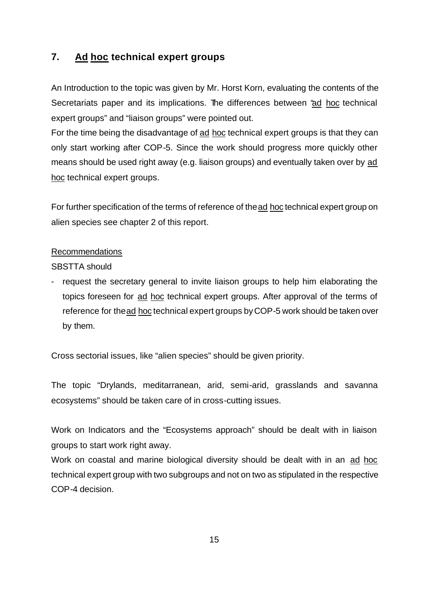## **7. Ad hoc technical expert groups**

An Introduction to the topic was given by Mr. Horst Korn, evaluating the contents of the Secretariats paper and its implications. The differences between "ad hoc technical expert groups" and "liaison groups" were pointed out.

For the time being the disadvantage of ad hoc technical expert groups is that they can only start working after COP-5. Since the work should progress more quickly other means should be used right away (e.g. liaison groups) and eventually taken over by ad hoc technical expert groups.

For further specification of the terms of reference of the ad hoc technical expert group on alien species see chapter 2 of this report.

#### Recommendations

SBSTTA should

- request the secretary general to invite liaison groups to help him elaborating the topics foreseen for ad hoc technical expert groups. After approval of the terms of reference for the ad hoc technical expert groups by COP-5 work should be taken over by them.

Cross sectorial issues, like "alien species" should be given priority.

The topic "Drylands, meditarranean, arid, semi-arid, grasslands and savanna ecosystems" should be taken care of in cross-cutting issues.

Work on Indicators and the "Ecosystems approach" should be dealt with in liaison groups to start work right away.

Work on coastal and marine biological diversity should be dealt with in an ad hoc technical expert group with two subgroups and not on two as stipulated in the respective COP-4 decision.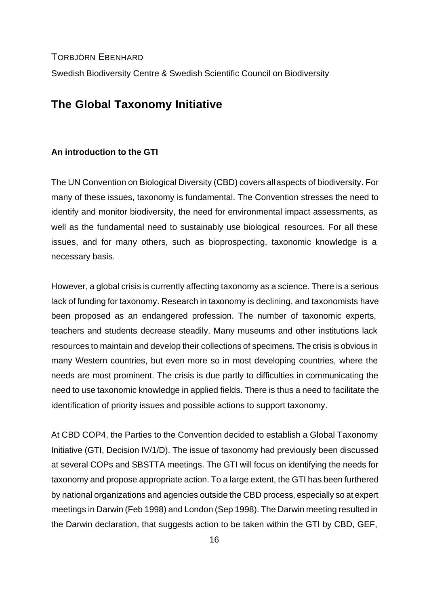TORBJÖRN EBENHARD

Swedish Biodiversity Centre & Swedish Scientific Council on Biodiversity

## **The Global Taxonomy Initiative**

#### **An introduction to the GTI**

The UN Convention on Biological Diversity (CBD) covers all aspects of biodiversity. For many of these issues, taxonomy is fundamental. The Convention stresses the need to identify and monitor biodiversity, the need for environmental impact assessments, as well as the fundamental need to sustainably use biological resources. For all these issues, and for many others, such as bioprospecting, taxonomic knowledge is a necessary basis.

However, a global crisis is currently affecting taxonomy as a science. There is a serious lack of funding for taxonomy. Research in taxonomy is declining, and taxonomists have been proposed as an endangered profession. The number of taxonomic experts, teachers and students decrease steadily. Many museums and other institutions lack resources to maintain and develop their collections of specimens. The crisis is obvious in many Western countries, but even more so in most developing countries, where the needs are most prominent. The crisis is due partly to difficulties in communicating the need to use taxonomic knowledge in applied fields. There is thus a need to facilitate the identification of priority issues and possible actions to support taxonomy.

At CBD COP4, the Parties to the Convention decided to establish a Global Taxonomy Initiative (GTI, Decision IV/1/D). The issue of taxonomy had previously been discussed at several COPs and SBSTTA meetings. The GTI will focus on identifying the needs for taxonomy and propose appropriate action. To a large extent, the GTI has been furthered by national organizations and agencies outside the CBD process, especially so at expert meetings in Darwin (Feb 1998) and London (Sep 1998). The Darwin meeting resulted in the Darwin declaration, that suggests action to be taken within the GTI by CBD, GEF,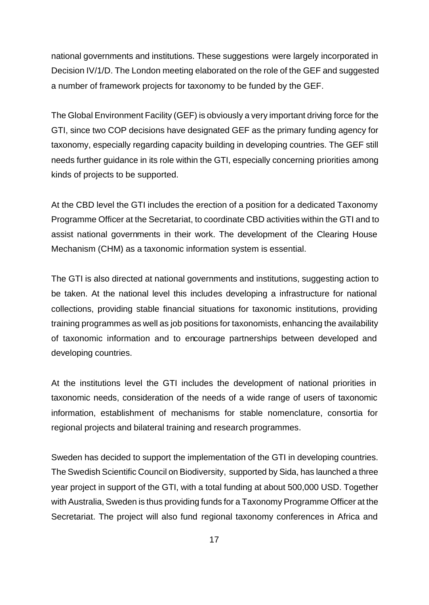national governments and institutions. These suggestions were largely incorporated in Decision IV/1/D. The London meeting elaborated on the role of the GEF and suggested a number of framework projects for taxonomy to be funded by the GEF.

The Global Environment Facility (GEF) is obviously a very important driving force for the GTI, since two COP decisions have designated GEF as the primary funding agency for taxonomy, especially regarding capacity building in developing countries. The GEF still needs further guidance in its role within the GTI, especially concerning priorities among kinds of projects to be supported.

At the CBD level the GTI includes the erection of a position for a dedicated Taxonomy Programme Officer at the Secretariat, to coordinate CBD activities within the GTI and to assist national governments in their work. The development of the Clearing House Mechanism (CHM) as a taxonomic information system is essential.

The GTI is also directed at national governments and institutions, suggesting action to be taken. At the national level this includes developing a infrastructure for national collections, providing stable financial situations for taxonomic institutions, providing training programmes as well as job positions for taxonomists, enhancing the availability of taxonomic information and to encourage partnerships between developed and developing countries.

At the institutions level the GTI includes the development of national priorities in taxonomic needs, consideration of the needs of a wide range of users of taxonomic information, establishment of mechanisms for stable nomenclature, consortia for regional projects and bilateral training and research programmes.

Sweden has decided to support the implementation of the GTI in developing countries. The Swedish Scientific Council on Biodiversity, supported by Sida, has launched a three year project in support of the GTI, with a total funding at about 500,000 USD. Together with Australia, Sweden is thus providing funds for a Taxonomy Programme Officer at the Secretariat. The project will also fund regional taxonomy conferences in Africa and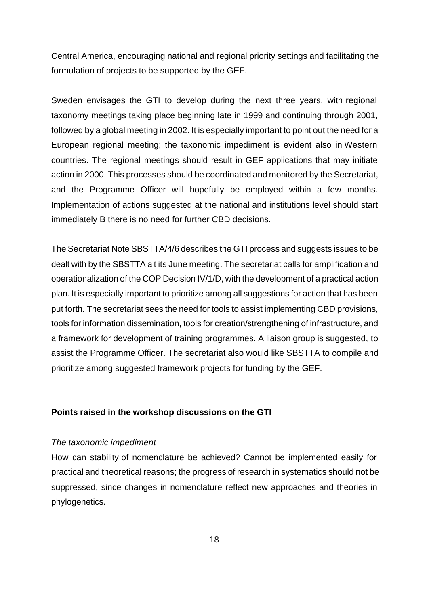Central America, encouraging national and regional priority settings and facilitating the formulation of projects to be supported by the GEF.

Sweden envisages the GTI to develop during the next three years, with regional taxonomy meetings taking place beginning late in 1999 and continuing through 2001, followed by a global meeting in 2002. It is especially important to point out the need for a European regional meeting; the taxonomic impediment is evident also in Western countries. The regional meetings should result in GEF applications that may initiate action in 2000. This processes should be coordinated and monitored by the Secretariat, and the Programme Officer will hopefully be employed within a few months. Implementation of actions suggested at the national and institutions level should start immediately B there is no need for further CBD decisions.

The Secretariat Note SBSTTA/4/6 describes the GTI process and suggests issues to be dealt with by the SBSTTA a t its June meeting. The secretariat calls for amplification and operationalization of the COP Decision IV/1/D, with the development of a practical action plan. It is especially important to prioritize among all suggestions for action that has been put forth. The secretariat sees the need for tools to assist implementing CBD provisions, tools for information dissemination, tools for creation/strengthening of infrastructure, and a framework for development of training programmes. A liaison group is suggested, to assist the Programme Officer. The secretariat also would like SBSTTA to compile and prioritize among suggested framework projects for funding by the GEF.

#### **Points raised in the workshop discussions on the GTI**

#### *The taxonomic impediment*

How can stability of nomenclature be achieved? Cannot be implemented easily for practical and theoretical reasons; the progress of research in systematics should not be suppressed, since changes in nomenclature reflect new approaches and theories in phylogenetics.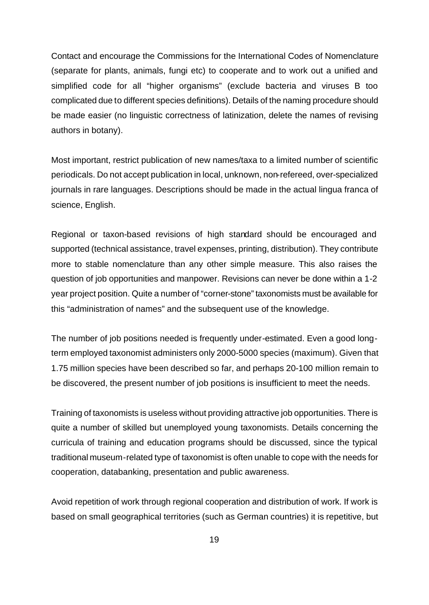Contact and encourage the Commissions for the International Codes of Nomenclature (separate for plants, animals, fungi etc) to cooperate and to work out a unified and simplified code for all "higher organisms" (exclude bacteria and viruses B too complicated due to different species definitions). Details of the naming procedure should be made easier (no linguistic correctness of latinization, delete the names of revising authors in botany).

Most important, restrict publication of new names/taxa to a limited number of scientific periodicals. Do not accept publication in local, unknown, non-refereed, over-specialized journals in rare languages. Descriptions should be made in the actual lingua franca of science, English.

Regional or taxon-based revisions of high standard should be encouraged and supported (technical assistance, travel expenses, printing, distribution). They contribute more to stable nomenclature than any other simple measure. This also raises the question of job opportunities and manpower. Revisions can never be done within a 1-2 year project position. Quite a number of "corner-stone" taxonomists must be available for this "administration of names" and the subsequent use of the knowledge.

The number of job positions needed is frequently under-estimated. Even a good longterm employed taxonomist administers only 2000-5000 species (maximum). Given that 1.75 million species have been described so far, and perhaps 20-100 million remain to be discovered, the present number of job positions is insufficient to meet the needs.

Training of taxonomists is useless without providing attractive job opportunities. There is quite a number of skilled but unemployed young taxonomists. Details concerning the curricula of training and education programs should be discussed, since the typical traditional museum-related type of taxonomist is often unable to cope with the needs for cooperation, databanking, presentation and public awareness.

Avoid repetition of work through regional cooperation and distribution of work. If work is based on small geographical territories (such as German countries) it is repetitive, but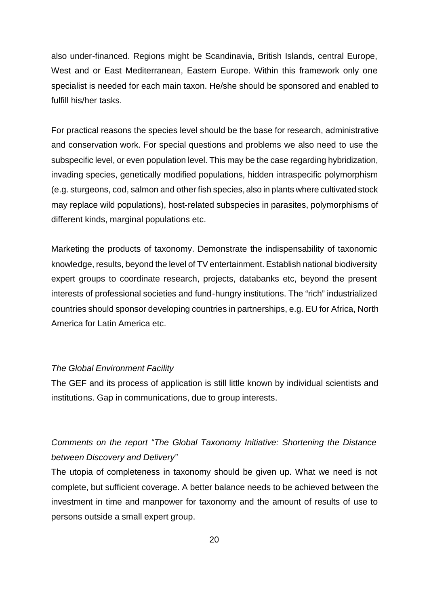also under-financed. Regions might be Scandinavia, British Islands, central Europe, West and or East Mediterranean, Eastern Europe. Within this framework only one specialist is needed for each main taxon. He/she should be sponsored and enabled to fulfill his/her tasks.

For practical reasons the species level should be the base for research, administrative and conservation work. For special questions and problems we also need to use the subspecific level, or even population level. This may be the case regarding hybridization, invading species, genetically modified populations, hidden intraspecific polymorphism (e.g. sturgeons, cod, salmon and other fish species, also in plants where cultivated stock may replace wild populations), host-related subspecies in parasites, polymorphisms of different kinds, marginal populations etc.

Marketing the products of taxonomy. Demonstrate the indispensability of taxonomic knowledge, results, beyond the level of TV entertainment. Establish national biodiversity expert groups to coordinate research, projects, databanks etc, beyond the present interests of professional societies and fund-hungry institutions. The "rich" industrialized countries should sponsor developing countries in partnerships, e.g. EU for Africa, North America for Latin America etc.

#### *The Global Environment Facility*

The GEF and its process of application is still little known by individual scientists and institutions. Gap in communications, due to group interests.

## *Comments on the report "The Global Taxonomy Initiative: Shortening the Distance between Discovery and Delivery"*

The utopia of completeness in taxonomy should be given up. What we need is not complete, but sufficient coverage. A better balance needs to be achieved between the investment in time and manpower for taxonomy and the amount of results of use to persons outside a small expert group.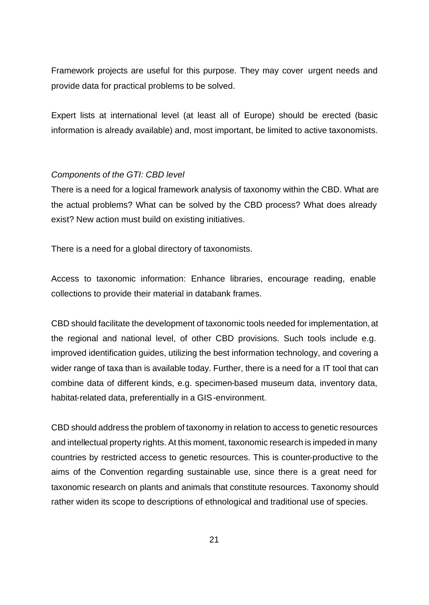Framework projects are useful for this purpose. They may cover urgent needs and provide data for practical problems to be solved.

Expert lists at international level (at least all of Europe) should be erected (basic information is already available) and, most important, be limited to active taxonomists.

#### *Components of the GTI: CBD level*

There is a need for a logical framework analysis of taxonomy within the CBD. What are the actual problems? What can be solved by the CBD process? What does already exist? New action must build on existing initiatives.

There is a need for a global directory of taxonomists.

Access to taxonomic information: Enhance libraries, encourage reading, enable collections to provide their material in databank frames.

CBD should facilitate the development of taxonomic tools needed for implementation, at the regional and national level, of other CBD provisions. Such tools include e.g. improved identification guides, utilizing the best information technology, and covering a wider range of taxa than is available today. Further, there is a need for a IT tool that can combine data of different kinds, e.g. specimen-based museum data, inventory data, habitat-related data, preferentially in a GIS-environment.

CBD should address the problem of taxonomy in relation to access to genetic resources and intellectual property rights. At this moment, taxonomic research is impeded in many countries by restricted access to genetic resources. This is counter-productive to the aims of the Convention regarding sustainable use, since there is a great need for taxonomic research on plants and animals that constitute resources. Taxonomy should rather widen its scope to descriptions of ethnological and traditional use of species.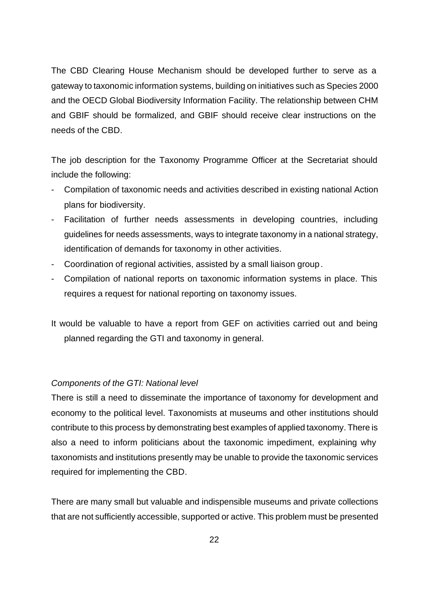The CBD Clearing House Mechanism should be developed further to serve as a gateway to taxonomic information systems, building on initiatives such as Species 2000 and the OECD Global Biodiversity Information Facility. The relationship between CHM and GBIF should be formalized, and GBIF should receive clear instructions on the needs of the CBD.

The job description for the Taxonomy Programme Officer at the Secretariat should include the following:

- Compilation of taxonomic needs and activities described in existing national Action plans for biodiversity.
- Facilitation of further needs assessments in developing countries, including guidelines for needs assessments, ways to integrate taxonomy in a national strategy, identification of demands for taxonomy in other activities.
- Coordination of regional activities, assisted by a small liaison group.
- Compilation of national reports on taxonomic information systems in place. This requires a request for national reporting on taxonomy issues.

It would be valuable to have a report from GEF on activities carried out and being planned regarding the GTI and taxonomy in general.

#### *Components of the GTI: National level*

There is still a need to disseminate the importance of taxonomy for development and economy to the political level. Taxonomists at museums and other institutions should contribute to this process by demonstrating best examples of applied taxonomy. There is also a need to inform politicians about the taxonomic impediment, explaining why taxonomists and institutions presently may be unable to provide the taxonomic services required for implementing the CBD.

There are many small but valuable and indispensible museums and private collections that are not sufficiently accessible, supported or active. This problem must be presented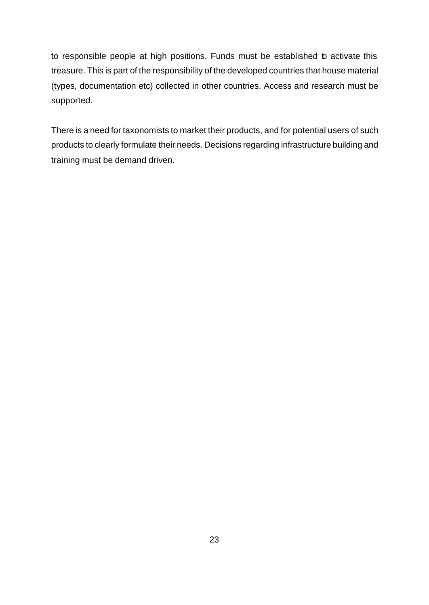to responsible people at high positions. Funds must be established to activate this treasure. This is part of the responsibility of the developed countries that house material (types, documentation etc) collected in other countries. Access and research must be supported.

There is a need for taxonomists to market their products, and for potential users of such products to clearly formulate their needs. Decisions regarding infrastructure building and training must be demand driven.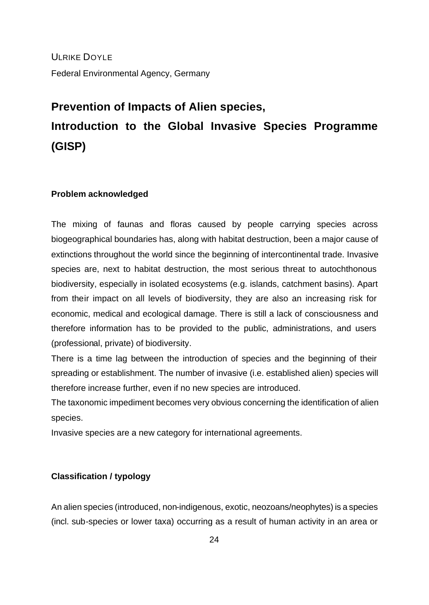ULRIKE DOYLE Federal Environmental Agency, Germany

# **Prevention of Impacts of Alien species, Introduction to the Global Invasive Species Programme (GISP)**

#### **Problem acknowledged**

The mixing of faunas and floras caused by people carrying species across biogeographical boundaries has, along with habitat destruction, been a major cause of extinctions throughout the world since the beginning of intercontinental trade. Invasive species are, next to habitat destruction, the most serious threat to autochthonous biodiversity, especially in isolated ecosystems (e.g. islands, catchment basins). Apart from their impact on all levels of biodiversity, they are also an increasing risk for economic, medical and ecological damage. There is still a lack of consciousness and therefore information has to be provided to the public, administrations, and users (professional, private) of biodiversity.

There is a time lag between the introduction of species and the beginning of their spreading or establishment. The number of invasive (i.e. established alien) species will therefore increase further, even if no new species are introduced.

The taxonomic impediment becomes very obvious concerning the identification of alien species.

Invasive species are a new category for international agreements.

#### **Classification / typology**

An alien species (introduced, non-indigenous, exotic, neozoans/neophytes) is a species (incl. sub-species or lower taxa) occurring as a result of human activity in an area or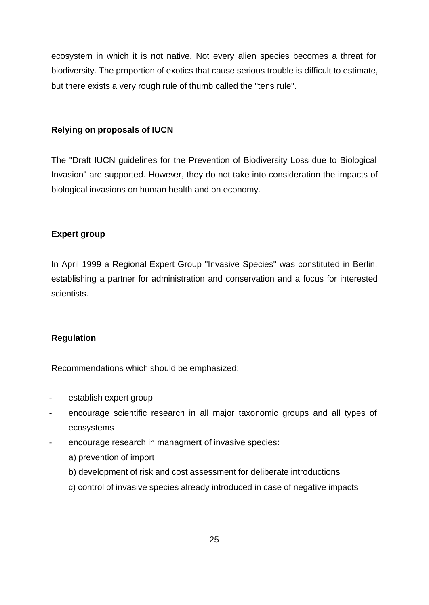ecosystem in which it is not native. Not every alien species becomes a threat for biodiversity. The proportion of exotics that cause serious trouble is difficult to estimate, but there exists a very rough rule of thumb called the "tens rule".

#### **Relying on proposals of IUCN**

The "Draft IUCN guidelines for the Prevention of Biodiversity Loss due to Biological Invasion" are supported. However, they do not take into consideration the impacts of biological invasions on human health and on economy.

#### **Expert group**

In April 1999 a Regional Expert Group "Invasive Species" was constituted in Berlin, establishing a partner for administration and conservation and a focus for interested scientists.

#### **Regulation**

Recommendations which should be emphasized:

- establish expert group
- encourage scientific research in all major taxonomic groups and all types of ecosystems
- encourage research in managment of invasive species:
	- a) prevention of import
	- b) development of risk and cost assessment for deliberate introductions
	- c) control of invasive species already introduced in case of negative impacts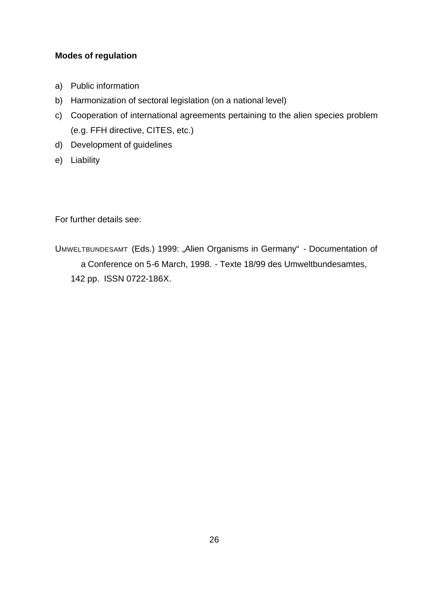## **Modes of regulation**

- a) Public information
- b) Harmonization of sectoral legislation (on a national level)
- c) Cooperation of international agreements pertaining to the alien species problem (e.g. FFH directive, CITES, etc.)
- d) Development of guidelines
- e) Liability

For further details see:

UMWELTBUNDESAMT (Eds.) 1999: "Alien Organisms in Germany" - Documentation of a Conference on 5-6 March, 1998. - Texte 18/99 des Umweltbundesamtes, 142 pp. ISSN 0722-186X.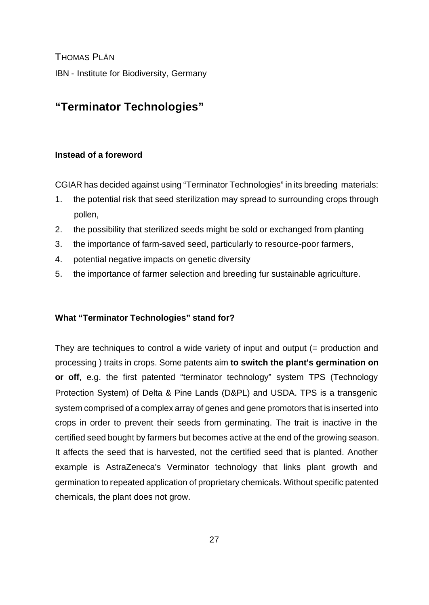THOMAS PLÄN IBN - Institute for Biodiversity, Germany

# **"Terminator Technologies"**

## **Instead of a foreword**

CGIAR has decided against using "Terminator Technologies" in its breeding materials:

- 1. the potential risk that seed sterilization may spread to surrounding crops through pollen,
- 2. the possibility that sterilized seeds might be sold or exchanged from planting
- 3. the importance of farm-saved seed, particularly to resource-poor farmers,
- 4. potential negative impacts on genetic diversity
- 5. the importance of farmer selection and breeding fur sustainable agriculture.

## **What "Terminator Technologies" stand for?**

They are techniques to control a wide variety of input and output (= production and processing ) traits in crops. Some patents aim **to switch the plant's germination on or off**, e.g. the first patented "terminator technology" system TPS (Technology Protection System) of Delta & Pine Lands (D&PL) and USDA. TPS is a transgenic system comprised of a complex array of genes and gene promotors that is inserted into crops in order to prevent their seeds from germinating. The trait is inactive in the certified seed bought by farmers but becomes active at the end of the growing season. It affects the seed that is harvested, not the certified seed that is planted. Another example is AstraZeneca's Verminator technology that links plant growth and germination to repeated application of proprietary chemicals. Without specific patented chemicals, the plant does not grow.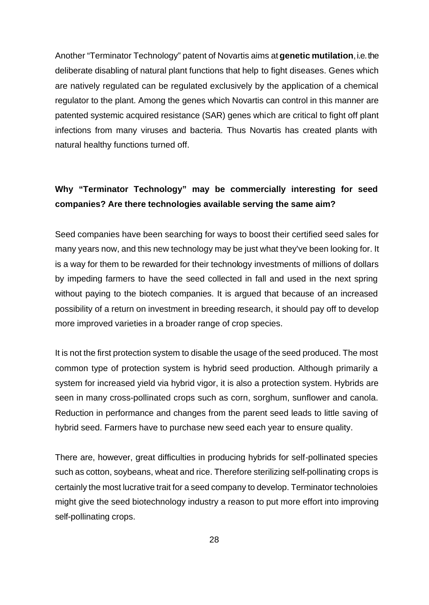Another "Terminator Technology" patent of Novartis aims at **genetic mutilation**, i.e. the deliberate disabling of natural plant functions that help to fight diseases. Genes which are natively regulated can be regulated exclusively by the application of a chemical regulator to the plant. Among the genes which Novartis can control in this manner are patented systemic acquired resistance (SAR) genes which are critical to fight off plant infections from many viruses and bacteria. Thus Novartis has created plants with natural healthy functions turned off.

## **Why "Terminator Technology" may be commercially interesting for seed companies? Are there technologies available serving the same aim?**

Seed companies have been searching for ways to boost their certified seed sales for many years now, and this new technology may be just what they've been looking for. It is a way for them to be rewarded for their technology investments of millions of dollars by impeding farmers to have the seed collected in fall and used in the next spring without paying to the biotech companies. It is argued that because of an increased possibility of a return on investment in breeding research, it should pay off to develop more improved varieties in a broader range of crop species.

It is not the first protection system to disable the usage of the seed produced. The most common type of protection system is hybrid seed production. Although primarily a system for increased yield via hybrid vigor, it is also a protection system. Hybrids are seen in many cross-pollinated crops such as corn, sorghum, sunflower and canola. Reduction in performance and changes from the parent seed leads to little saving of hybrid seed. Farmers have to purchase new seed each year to ensure quality.

There are, however, great difficulties in producing hybrids for self-pollinated species such as cotton, soybeans, wheat and rice. Therefore sterilizing self-pollinating crops is certainly the most lucrative trait for a seed company to develop. Terminator technoloies might give the seed biotechnology industry a reason to put more effort into improving self-pollinating crops.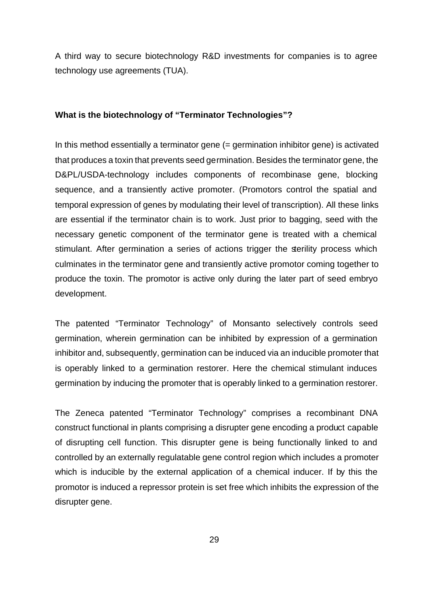A third way to secure biotechnology R&D investments for companies is to agree technology use agreements (TUA).

#### **What is the biotechnology of "Terminator Technologies"?**

In this method essentially a terminator gene (= germination inhibitor gene) is activated that produces a toxin that prevents seed germination. Besides the terminator gene, the D&PL/USDA-technology includes components of recombinase gene, blocking sequence, and a transiently active promoter. (Promotors control the spatial and temporal expression of genes by modulating their level of transcription). All these links are essential if the terminator chain is to work. Just prior to bagging, seed with the necessary genetic component of the terminator gene is treated with a chemical stimulant. After germination a series of actions trigger the sterility process which culminates in the terminator gene and transiently active promotor coming together to produce the toxin. The promotor is active only during the later part of seed embryo development.

The patented "Terminator Technology" of Monsanto selectively controls seed germination, wherein germination can be inhibited by expression of a germination inhibitor and, subsequently, germination can be induced via an inducible promoter that is operably linked to a germination restorer. Here the chemical stimulant induces germination by inducing the promoter that is operably linked to a germination restorer.

The Zeneca patented "Terminator Technology" comprises a recombinant DNA construct functional in plants comprising a disrupter gene encoding a product capable of disrupting cell function. This disrupter gene is being functionally linked to and controlled by an externally regulatable gene control region which includes a promoter which is inducible by the external application of a chemical inducer. If by this the promotor is induced a repressor protein is set free which inhibits the expression of the disrupter gene.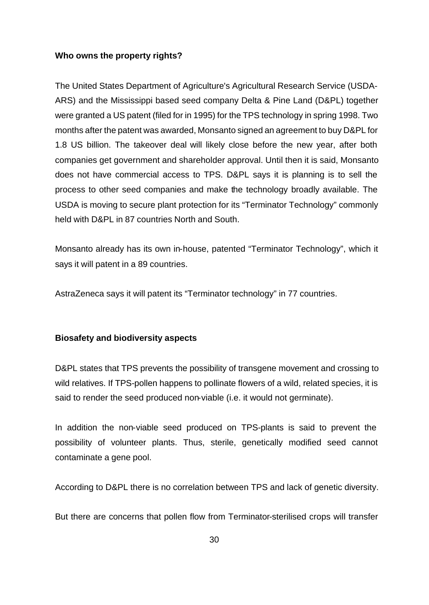#### **Who owns the property rights?**

The United States Department of Agriculture's Agricultural Research Service (USDA-ARS) and the Mississippi based seed company Delta & Pine Land (D&PL) together were granted a US patent (filed for in 1995) for the TPS technology in spring 1998. Two months after the patent was awarded, Monsanto signed an agreement to buy D&PL for 1.8 US billion. The takeover deal will likely close before the new year, after both companies get government and shareholder approval. Until then it is said, Monsanto does not have commercial access to TPS. D&PL says it is planning is to sell the process to other seed companies and make the technology broadly available. The USDA is moving to secure plant protection for its "Terminator Technology" commonly held with D&PL in 87 countries North and South.

Monsanto already has its own in-house, patented "Terminator Technology", which it says it will patent in a 89 countries.

AstraZeneca says it will patent its "Terminator technology" in 77 countries.

#### **Biosafety and biodiversity aspects**

D&PL states that TPS prevents the possibility of transgene movement and crossing to wild relatives. If TPS-pollen happens to pollinate flowers of a wild, related species, it is said to render the seed produced non-viable (i.e. it would not germinate).

In addition the non-viable seed produced on TPS-plants is said to prevent the possibility of volunteer plants. Thus, sterile, genetically modified seed cannot contaminate a gene pool.

According to D&PL there is no correlation between TPS and lack of genetic diversity.

But there are concerns that pollen flow from Terminator-sterilised crops will transfer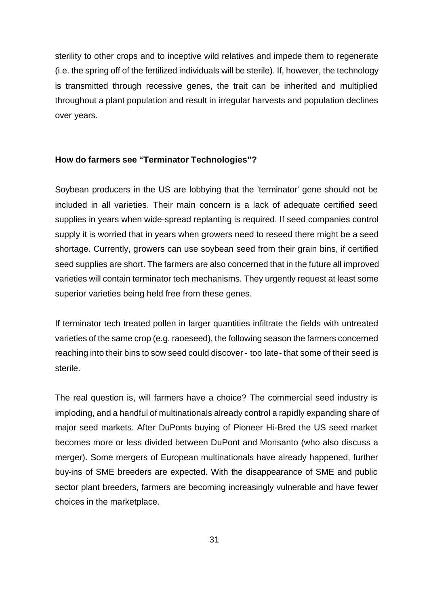sterility to other crops and to inceptive wild relatives and impede them to regenerate (i.e. the spring off of the fertilized individuals will be sterile). If, however, the technology is transmitted through recessive genes, the trait can be inherited and multiplied throughout a plant population and result in irregular harvests and population declines over years.

#### **How do farmers see "Terminator Technologies"?**

Soybean producers in the US are lobbying that the 'terminator' gene should not be included in all varieties. Their main concern is a lack of adequate certified seed supplies in years when wide-spread replanting is required. If seed companies control supply it is worried that in years when growers need to reseed there might be a seed shortage. Currently, growers can use soybean seed from their grain bins, if certified seed supplies are short. The farmers are also concerned that in the future all improved varieties will contain terminator tech mechanisms. They urgently request at least some superior varieties being held free from these genes.

If terminator tech treated pollen in larger quantities infiltrate the fields with untreated varieties of the same crop (e.g. raoeseed), the following season the farmers concerned reaching into their bins to sow seed could discover - too late - that some of their seed is sterile.

The real question is, will farmers have a choice? The commercial seed industry is imploding, and a handful of multinationals already control a rapidly expanding share of major seed markets. After DuPonts buying of Pioneer Hi-Bred the US seed market becomes more or less divided between DuPont and Monsanto (who also discuss a merger). Some mergers of European multinationals have already happened, further buy-ins of SME breeders are expected. With the disappearance of SME and public sector plant breeders, farmers are becoming increasingly vulnerable and have fewer choices in the marketplace.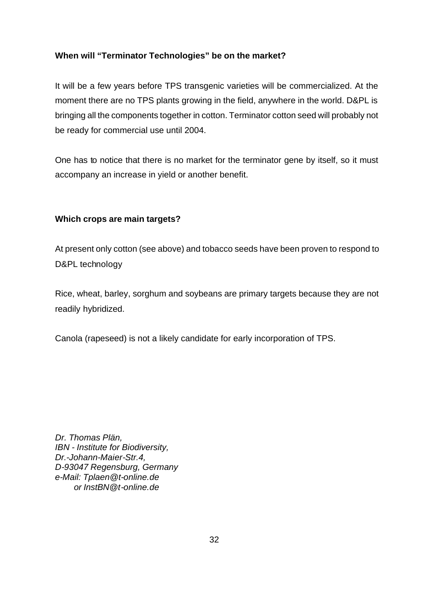#### **When will "Terminator Technologies" be on the market?**

It will be a few years before TPS transgenic varieties will be commercialized. At the moment there are no TPS plants growing in the field, anywhere in the world. D&PL is bringing all the components together in cotton. Terminator cotton seed will probably not be ready for commercial use until 2004.

One has to notice that there is no market for the terminator gene by itself, so it must accompany an increase in yield or another benefit.

#### **Which crops are main targets?**

At present only cotton (see above) and tobacco seeds have been proven to respond to D&PL technology

Rice, wheat, barley, sorghum and soybeans are primary targets because they are not readily hybridized.

Canola (rapeseed) is not a likely candidate for early incorporation of TPS.

*Dr. Thomas Plän, IBN - Institute for Biodiversity, Dr.-Johann-Maier-Str.4, D-93047 Regensburg, Germany e-Mail: Tplaen@t-online.de or InstBN@t-online.de*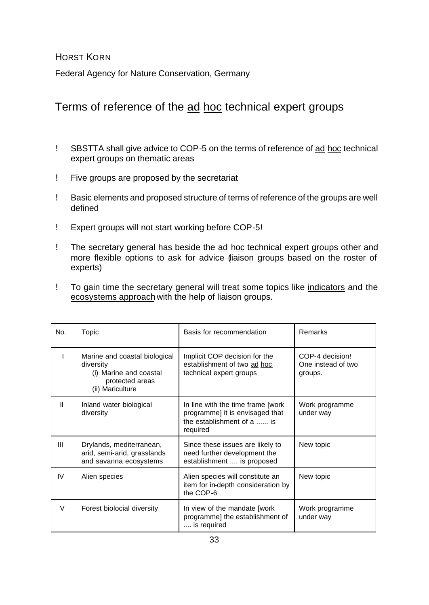HORST KORN

Federal Agency for Nature Conservation, Germany

## Terms of reference of the ad hoc technical expert groups

- ! SBSTTA shall give advice to COP-5 on the terms of reference of ad hoc technical expert groups on thematic areas
- ! Five groups are proposed by the secretariat
- ! Basic elements and proposed structure of terms of reference of the groups are well defined
- ! Expert groups will not start working before COP-5!
- ! The secretary general has beside the ad hoc technical expert groups other and more flexible options to ask for advice *(iaison groups* based on the roster of experts)
- ! To gain time the secretary general will treat some topics like indicators and the ecosystems approach with the help of liaison groups.

| No.    | Topic                                                                                                       | Basis for recommendation                                                                                        | Remarks                                          |
|--------|-------------------------------------------------------------------------------------------------------------|-----------------------------------------------------------------------------------------------------------------|--------------------------------------------------|
|        | Marine and coastal biological<br>diversity<br>(i) Marine and coastal<br>protected areas<br>(ii) Mariculture | Implicit COP decision for the<br>establishment of two ad hoc<br>technical expert groups                         | COP-4 decision!<br>One instead of two<br>groups. |
| Ш      | Inland water biological<br>diversity                                                                        | In line with the time frame [work]<br>programme] it is envisaged that<br>the establishment of a  is<br>required | Work programme<br>under way                      |
| Ш      | Drylands, mediterranean,<br>arid, semi-arid, grasslands<br>and savanna ecosystems                           | Since these issues are likely to<br>need further development the<br>establishment  is proposed                  | New topic                                        |
| IV     | Alien species                                                                                               | Alien species will constitute an<br>item for in-depth consideration by<br>the COP-6                             | New topic                                        |
| $\vee$ | Forest biolocial diversity                                                                                  | In view of the mandate [work]<br>programme] the establishment of<br>is required                                 | Work programme<br>under way                      |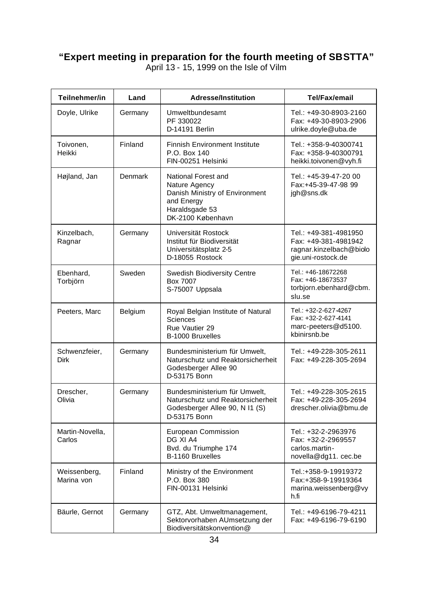## **"Expert meeting in preparation for the fourth meeting of SBSTTA"**

April 13 - 15, 1999 on the Isle of Vilm

| Teilnehmer/in                | Land           | <b>Adresse/Institution</b>                                                                                                  | Tel/Fax/email                                                                                  |
|------------------------------|----------------|-----------------------------------------------------------------------------------------------------------------------------|------------------------------------------------------------------------------------------------|
| Doyle, Ulrike                | Germany        | Umweltbundesamt<br>PF 330022<br>D-14191 Berlin                                                                              | Tel.: +49-30-8903-2160<br>Fax: +49-30-8903-2906<br>ulrike.doyle@uba.de                         |
| Toivonen,<br>Heikki          | Finland        | <b>Finnish Environment Institute</b><br>P.O. Box 140<br>FIN-00251 Helsinki                                                  | Tel.: +358-9-40300741<br>Fax: +358-9-40300791<br>heikki.toivonen@vyh.fi                        |
| Højland, Jan                 | <b>Denmark</b> | National Forest and<br>Nature Agency<br>Danish Ministry of Environment<br>and Energy<br>Haraldsgade 53<br>DK-2100 København | Tel.: +45-39-47-20 00<br>Fax:+45-39-47-98 99<br>jgh@sns.dk                                     |
| Kinzelbach,<br>Ragnar        | Germany        | Universität Rostock<br>Institut für Biodiversität<br>Universitätsplatz 2-5<br>D-18055 Rostock                               | Tel.: +49-381-4981950<br>Fax: +49-381-4981942<br>ragnar.kinzelbach@biolo<br>gie.uni-rostock.de |
| Ebenhard,<br>Torbjörn        | Sweden         | <b>Swedish Biodiversity Centre</b><br>Box 7007<br>S-75007 Uppsala                                                           | Tel.: +46-18672268<br>Fax: +46-18673537<br>torbjorn.ebenhard@cbm.<br>slu.se                    |
| Peeters, Marc                | Belgium        | Royal Belgian Institute of Natural<br><b>Sciences</b><br>Rue Vautier 29<br>B-1000 Bruxelles                                 | Tel.: +32-2-627-4267<br>Fax: +32-2-627-4141<br>marc-peeters@d5100.<br>kbinirsnb.be             |
| Schwenzfeier,<br><b>Dirk</b> | Germany        | Bundesministerium für Umwelt,<br>Naturschutz und Reaktorsicherheit<br>Godesberger Allee 90<br>D-53175 Bonn                  | Tel.: +49-228-305-2611<br>Fax: +49-228-305-2694                                                |
| Drescher,<br>Olivia          | Germany        | Bundesministerium für Umwelt,<br>Naturschutz und Reaktorsicherheit<br>Godesberger Allee 90, N I1 (S)<br>D-53175 Bonn        | Tel.: +49-228-305-2615<br>Fax: +49-228-305-2694<br>drescher.olivia@bmu.de                      |
| Martin-Novella,<br>Carlos    |                | <b>European Commission</b><br>DG XI A4<br>Bvd. du Triumphe 174<br>B-1160 Bruxelles                                          | Tel.: +32-2-2963976<br>Fax: +32-2-2969557<br>carlos.martin-<br>novella@dg11. cec.be            |
| Weissenberg,<br>Marina von   | Finland        | Ministry of the Environment<br>P.O. Box 380<br>FIN-00131 Helsinki                                                           | Tel.:+358-9-19919372<br>Fax:+358-9-19919364<br>marina.weissenberg@vy<br>h.fi                   |
| Bäurle, Gernot               | Germany        | GTZ, Abt. Umweltmanagement,<br>Sektorvorhaben AUmsetzung der<br>Biodiversitätskonvention@                                   | Tel.: +49-6196-79-4211<br>Fax: +49-6196-79-6190                                                |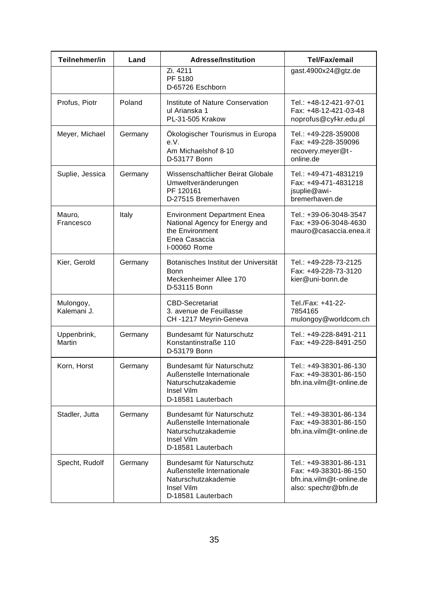| Teilnehmer/in            | Land    | <b>Adresse/Institution</b>                                                                                               | <b>Tel/Fax/email</b>                                                                                |
|--------------------------|---------|--------------------------------------------------------------------------------------------------------------------------|-----------------------------------------------------------------------------------------------------|
|                          |         | Zi. 4211<br>PF 5180<br>D-65726 Eschborn                                                                                  | gast.4900x24@gtz.de                                                                                 |
| Profus, Piotr            | Poland  | Institute of Nature Conservation<br>ul Arianska 1<br>PL-31-505 Krakow                                                    | Tel.: +48-12-421-97-01<br>Fax: +48-12-421-03-48<br>noprofus@cyf-kr.edu.pl                           |
| Meyer, Michael           | Germany | Ökologischer Tourismus in Europa<br>e.V.<br>Am Michaelshof 8-10<br>D-53177 Bonn                                          | Tel.: +49-228-359008<br>Fax: +49-228-359096<br>recovery.meyer@t-<br>online.de                       |
| Suplie, Jessica          | Germany | Wissenschaftlicher Beirat Globale<br>Umweltveränderungen<br>PF 120161<br>D-27515 Bremerhaven                             | Tel.: +49-471-4831219<br>Fax: +49-471-4831218<br>jsuplie@awi-<br>bremerhaven.de                     |
| Mauro,<br>Francesco      | Italy   | <b>Environment Department Enea</b><br>National Agency for Energy and<br>the Environment<br>Enea Casaccia<br>I-00060 Rome | Tel.: +39-06-3048-3547<br>Fax: +39-06-3048-4630<br>mauro@casaccia.enea.it                           |
| Kier, Gerold             | Germany | Botanisches Institut der Universität<br><b>Bonn</b><br>Meckenheimer Allee 170<br>D-53115 Bonn                            | Tel.: +49-228-73-2125<br>Fax: +49-228-73-3120<br>kier@uni-bonn.de                                   |
| Mulongoy,<br>Kalemani J. |         | <b>CBD-Secretariat</b><br>3. avenue de Feuillasse<br>CH-1217 Meyrin-Geneva                                               | Tel./Fax: +41-22-<br>7854165<br>mulongoy@worldcom.ch                                                |
| Uppenbrink,<br>Martin    | Germany | Bundesamt für Naturschutz<br>Konstantinstraße 110<br>D-53179 Bonn                                                        | Tel.: +49-228-8491-211<br>Fax: +49-228-8491-250                                                     |
| Korn, Horst              | Germany | Bundesamt für Naturschutz<br>Außenstelle Internationale<br>Naturschutzakademie<br>Insel Vilm<br>D-18581 Lauterbach       | Tel.: +49-38301-86-130<br>Fax: +49-38301-86-150<br>bfn.ina.vilm@t-online.de                         |
| Stadler, Jutta           | Germany | Bundesamt für Naturschutz<br>Außenstelle Internationale<br>Naturschutzakademie<br>Insel Vilm<br>D-18581 Lauterbach       | Tel.: +49-38301-86-134<br>Fax: +49-38301-86-150<br>bfn.ina.vilm@t-online.de                         |
| Specht, Rudolf           | Germany | Bundesamt für Naturschutz<br>Außenstelle Internationale<br>Naturschutzakademie<br>Insel Vilm<br>D-18581 Lauterbach       | Tel.: +49-38301-86-131<br>Fax: +49-38301-86-150<br>bfn.ina.vilm@t-online.de<br>also: spechtr@bfn.de |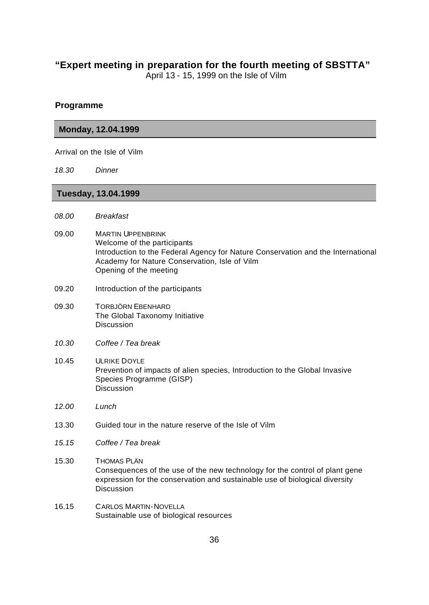#### **"Expert meeting in preparation for the fourth meeting of SBSTTA"**

April 13 - 15, 1999 on the Isle of Vilm

#### **Programme**

#### **Monday, 12.04.1999**

Arrival on the Isle of Vilm

*18.30 Dinner*

#### **Tuesday, 13.04.1999**

- *08.00 Breakfast*
- 09.00 MARTIN UPPENBRINK Welcome of the participants Introduction to the Federal Agency for Nature Conservation and the International Academy for Nature Conservation, Isle of Vilm Opening of the meeting
- 09.20 Introduction of the participants
- 09.30 TORBJÖRN EBENHARD The Global Taxonomy Initiative **Discussion**
- *10.30 Coffee / Tea break*
- 10.45 ULRIKE DOYLE Prevention of impacts of alien species, Introduction to the Global Invasive Species Programme (GISP) **Discussion**
- *12.00 Lunch*
- 13.30 Guided tour in the nature reserve of the Isle of Vilm
- *15.15 Coffee / Tea break*
- 15.30 THOMAS PLÄN Consequences of the use of the new technology for the control of plant gene expression for the conservation and sustainable use of biological diversity **Discussion**
- 16.15 CARLOS MARTIN-NOVELLA Sustainable use of biological resources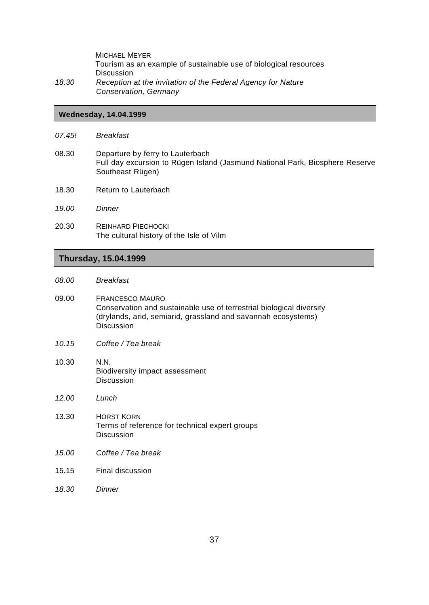MICHAEL MEYER Tourism as an example of sustainable use of biological resources Discussion *18.30 Reception at the invitation of the Federal Agency for Nature Conservation, Germany*

#### **Wednesday, 14.04.1999**

- *07.45! Breakfast*
- 08.30 Departure by ferry to Lauterbach Full day excursion to Rügen Island (Jasmund National Park, Biosphere Reserve Southeast Rügen)
- 18.30 Return to Lauterbach
- *19.00 Dinner*
- 20.30 REINHARD PIECHOCKI The cultural history of the Isle of Vilm

#### **Thursday, 15.04.1999**

- *08.00 Breakfast*
- 09.00 FRANCESCO MAURO Conservation and sustainable use of terrestrial biological diversity (drylands, arid, semiarid, grassland and savannah ecosystems) **Discussion**
- *10.15 Coffee / Tea break*
- 10.30 N.N. Biodiversity impact assessment Discussion
- *12.00 Lunch*
- 13.30 HORST KORN Terms of reference for technical expert groups Discussion
- *15.00 Coffee / Tea break*
- 15.15 Final discussion
- *18.30 Dinner*